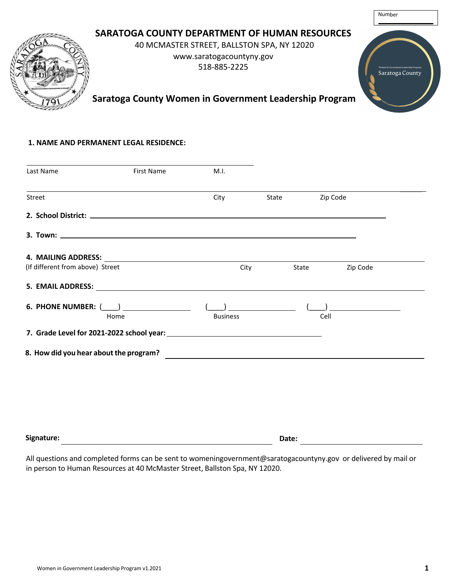# Number **SARATOGA COUNTY DEPARTMENT OF HUMAN RESOURCES**  40 MCMASTER STREET, BALLSTON SPA, NY 12020 www.saratogacountyny.gov 518-885-2225 Saratoga County **Saratoga County Women in Government Leadership Program**

#### **1. NAME AND PERMANENT LEGAL RESIDENCE:**

| Last Name                        | <b>First Name</b> | M.I.            |       |                   |  |
|----------------------------------|-------------------|-----------------|-------|-------------------|--|
| Street                           |                   | City            | State | Zip Code          |  |
|                                  |                   |                 |       |                   |  |
|                                  |                   |                 |       |                   |  |
|                                  |                   |                 |       |                   |  |
| (If different from above) Street |                   | City            |       | Zip Code<br>State |  |
|                                  |                   |                 |       |                   |  |
| 6. PHONE NUMBER: $(\_\_)$        |                   |                 |       |                   |  |
|                                  | Home              | <b>Business</b> |       | Cell              |  |
|                                  |                   |                 |       |                   |  |
|                                  |                   |                 |       |                   |  |
|                                  |                   |                 |       |                   |  |
|                                  |                   |                 |       |                   |  |
|                                  |                   |                 |       |                   |  |
|                                  |                   |                 |       |                   |  |
|                                  |                   |                 |       |                   |  |
| Signature:                       |                   |                 | Date: |                   |  |

All questions and completed forms can be sent to womeningovernment@saratogacountyny.gov or delivered by mail or in person to Human Resources at 40 McMaster Street, Ballston Spa, NY 12020.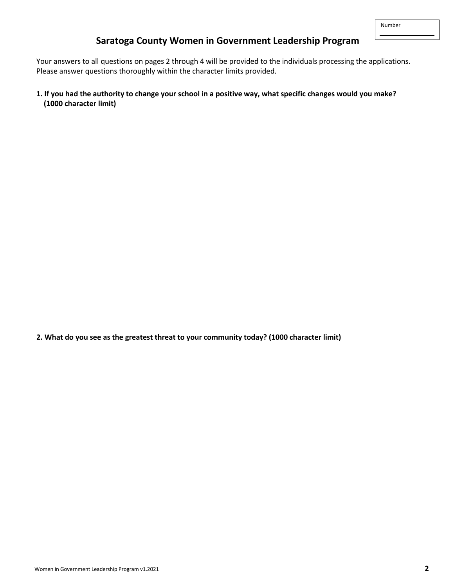# **Saratoga County Women in Government Leadership Program**

Your answers to all questions on pages 2 through 4 will be provided to the individuals processing the applications. Please answer questions thoroughly within the character limits provided.

**1. If you had the authority to change your school in a positive way, what specific changes would you make? (1000 character limit)**

**2. What do you see as the greatest threat to your community today? (1000 character limit)**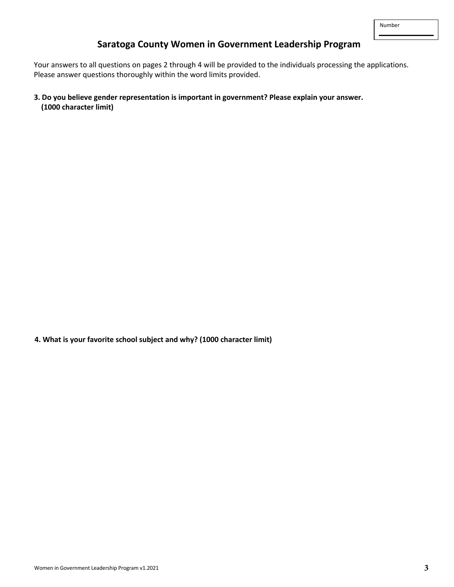### **Saratoga County Women in Government Leadership Program**

Your answers to all questions on pages 2 through 4 will be provided to the individuals processing the applications. Please answer questions thoroughly within the word limits provided.

**3. Do you believe gender representation is important in government? Please explain your answer. (1000 character limit)**

**4. What is your favorite school subject and why? (1000 character limit)**